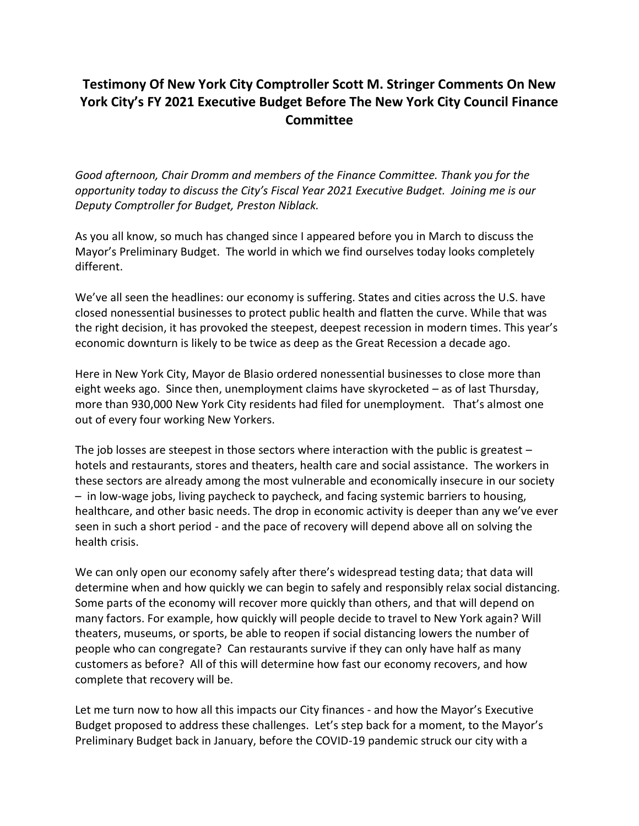## **Testimony Of New York City Comptroller Scott M. Stringer Comments On New York City's FY 2021 Executive Budget Before The New York City Council Finance Committee**

*Good afternoon, Chair Dromm and members of the Finance Committee. Thank you for the opportunity today to discuss the City's Fiscal Year 2021 Executive Budget. Joining me is our Deputy Comptroller for Budget, Preston Niblack.*

As you all know, so much has changed since I appeared before you in March to discuss the Mayor's Preliminary Budget. The world in which we find ourselves today looks completely different.

We've all seen the headlines: our economy is suffering. States and cities across the U.S. have closed nonessential businesses to protect public health and flatten the curve. While that was the right decision, it has provoked the steepest, deepest recession in modern times. This year's economic downturn is likely to be twice as deep as the Great Recession a decade ago.

Here in New York City, Mayor de Blasio ordered nonessential businesses to close more than eight weeks ago. Since then, unemployment claims have skyrocketed – as of last Thursday, more than 930,000 New York City residents had filed for unemployment. That's almost one out of every four working New Yorkers.

The job losses are steepest in those sectors where interaction with the public is greatest  $$ hotels and restaurants, stores and theaters, health care and social assistance. The workers in these sectors are already among the most vulnerable and economically insecure in our society – in low-wage jobs, living paycheck to paycheck, and facing systemic barriers to housing, healthcare, and other basic needs. The drop in economic activity is deeper than any we've ever seen in such a short period - and the pace of recovery will depend above all on solving the health crisis.

We can only open our economy safely after there's widespread testing data; that data will determine when and how quickly we can begin to safely and responsibly relax social distancing. Some parts of the economy will recover more quickly than others, and that will depend on many factors. For example, how quickly will people decide to travel to New York again? Will theaters, museums, or sports, be able to reopen if social distancing lowers the number of people who can congregate? Can restaurants survive if they can only have half as many customers as before? All of this will determine how fast our economy recovers, and how complete that recovery will be.

Let me turn now to how all this impacts our City finances - and how the Mayor's Executive Budget proposed to address these challenges. Let's step back for a moment, to the Mayor's Preliminary Budget back in January, before the COVID-19 pandemic struck our city with a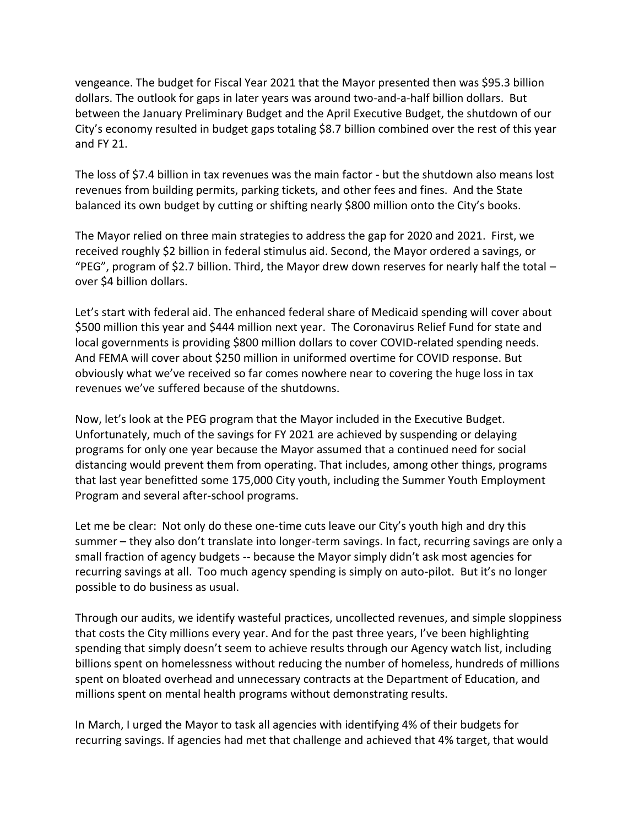vengeance. The budget for Fiscal Year 2021 that the Mayor presented then was \$95.3 billion dollars. The outlook for gaps in later years was around two-and-a-half billion dollars. But between the January Preliminary Budget and the April Executive Budget, the shutdown of our City's economy resulted in budget gaps totaling \$8.7 billion combined over the rest of this year and FY 21.

The loss of \$7.4 billion in tax revenues was the main factor - but the shutdown also means lost revenues from building permits, parking tickets, and other fees and fines. And the State balanced its own budget by cutting or shifting nearly \$800 million onto the City's books.

The Mayor relied on three main strategies to address the gap for 2020 and 2021. First, we received roughly \$2 billion in federal stimulus aid. Second, the Mayor ordered a savings, or "PEG", program of \$2.7 billion. Third, the Mayor drew down reserves for nearly half the total  $$ over \$4 billion dollars.

Let's start with federal aid. The enhanced federal share of Medicaid spending will cover about \$500 million this year and \$444 million next year. The Coronavirus Relief Fund for state and local governments is providing \$800 million dollars to cover COVID-related spending needs. And FEMA will cover about \$250 million in uniformed overtime for COVID response. But obviously what we've received so far comes nowhere near to covering the huge loss in tax revenues we've suffered because of the shutdowns.

Now, let's look at the PEG program that the Mayor included in the Executive Budget. Unfortunately, much of the savings for FY 2021 are achieved by suspending or delaying programs for only one year because the Mayor assumed that a continued need for social distancing would prevent them from operating. That includes, among other things, programs that last year benefitted some 175,000 City youth, including the Summer Youth Employment Program and several after-school programs.

Let me be clear: Not only do these one-time cuts leave our City's youth high and dry this summer – they also don't translate into longer-term savings. In fact, recurring savings are only a small fraction of agency budgets -- because the Mayor simply didn't ask most agencies for recurring savings at all. Too much agency spending is simply on auto-pilot. But it's no longer possible to do business as usual.

Through our audits, we identify wasteful practices, uncollected revenues, and simple sloppiness that costs the City millions every year. And for the past three years, I've been highlighting spending that simply doesn't seem to achieve results through our Agency watch list, including billions spent on homelessness without reducing the number of homeless, hundreds of millions spent on bloated overhead and unnecessary contracts at the Department of Education, and millions spent on mental health programs without demonstrating results.

In March, I urged the Mayor to task all agencies with identifying 4% of their budgets for recurring savings. If agencies had met that challenge and achieved that 4% target, that would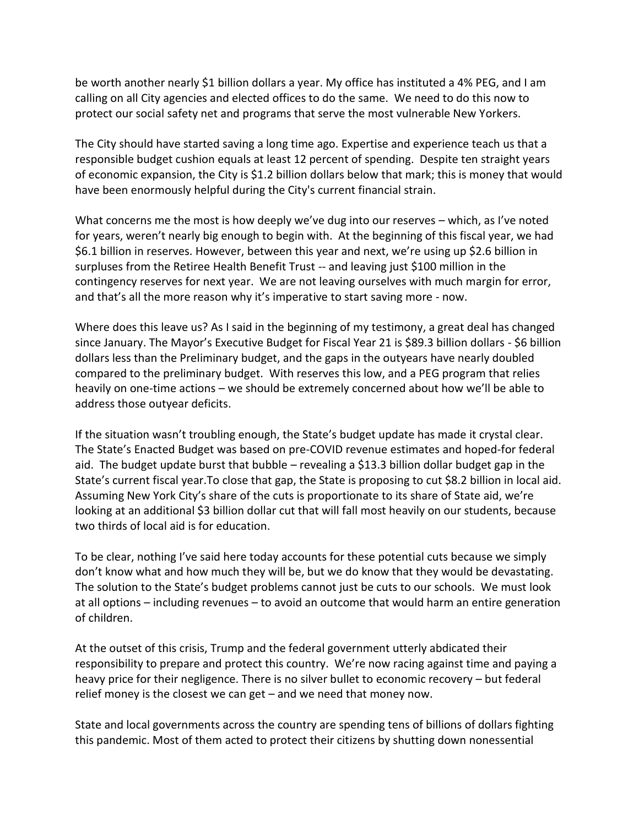be worth another nearly \$1 billion dollars a year. My office has instituted a 4% PEG, and I am calling on all City agencies and elected offices to do the same. We need to do this now to protect our social safety net and programs that serve the most vulnerable New Yorkers.

The City should have started saving a long time ago. Expertise and experience teach us that a responsible budget cushion equals at least 12 percent of spending. Despite ten straight years of economic expansion, the City is \$1.2 billion dollars below that mark; this is money that would have been enormously helpful during the City's current financial strain.

What concerns me the most is how deeply we've dug into our reserves – which, as I've noted for years, weren't nearly big enough to begin with. At the beginning of this fiscal year, we had \$6.1 billion in reserves. However, between this year and next, we're using up \$2.6 billion in surpluses from the Retiree Health Benefit Trust -- and leaving just \$100 million in the contingency reserves for next year. We are not leaving ourselves with much margin for error, and that's all the more reason why it's imperative to start saving more - now.

Where does this leave us? As I said in the beginning of my testimony, a great deal has changed since January. The Mayor's Executive Budget for Fiscal Year 21 is \$89.3 billion dollars - \$6 billion dollars less than the Preliminary budget, and the gaps in the outyears have nearly doubled compared to the preliminary budget. With reserves this low, and a PEG program that relies heavily on one-time actions – we should be extremely concerned about how we'll be able to address those outyear deficits.

If the situation wasn't troubling enough, the State's budget update has made it crystal clear. The State's Enacted Budget was based on pre-COVID revenue estimates and hoped-for federal aid. The budget update burst that bubble – revealing a \$13.3 billion dollar budget gap in the State's current fiscal year.To close that gap, the State is proposing to cut \$8.2 billion in local aid. Assuming New York City's share of the cuts is proportionate to its share of State aid, we're looking at an additional \$3 billion dollar cut that will fall most heavily on our students, because two thirds of local aid is for education.

To be clear, nothing I've said here today accounts for these potential cuts because we simply don't know what and how much they will be, but we do know that they would be devastating. The solution to the State's budget problems cannot just be cuts to our schools. We must look at all options – including revenues – to avoid an outcome that would harm an entire generation of children.

At the outset of this crisis, Trump and the federal government utterly abdicated their responsibility to prepare and protect this country. We're now racing against time and paying a heavy price for their negligence. There is no silver bullet to economic recovery – but federal relief money is the closest we can get – and we need that money now.

State and local governments across the country are spending tens of billions of dollars fighting this pandemic. Most of them acted to protect their citizens by shutting down nonessential